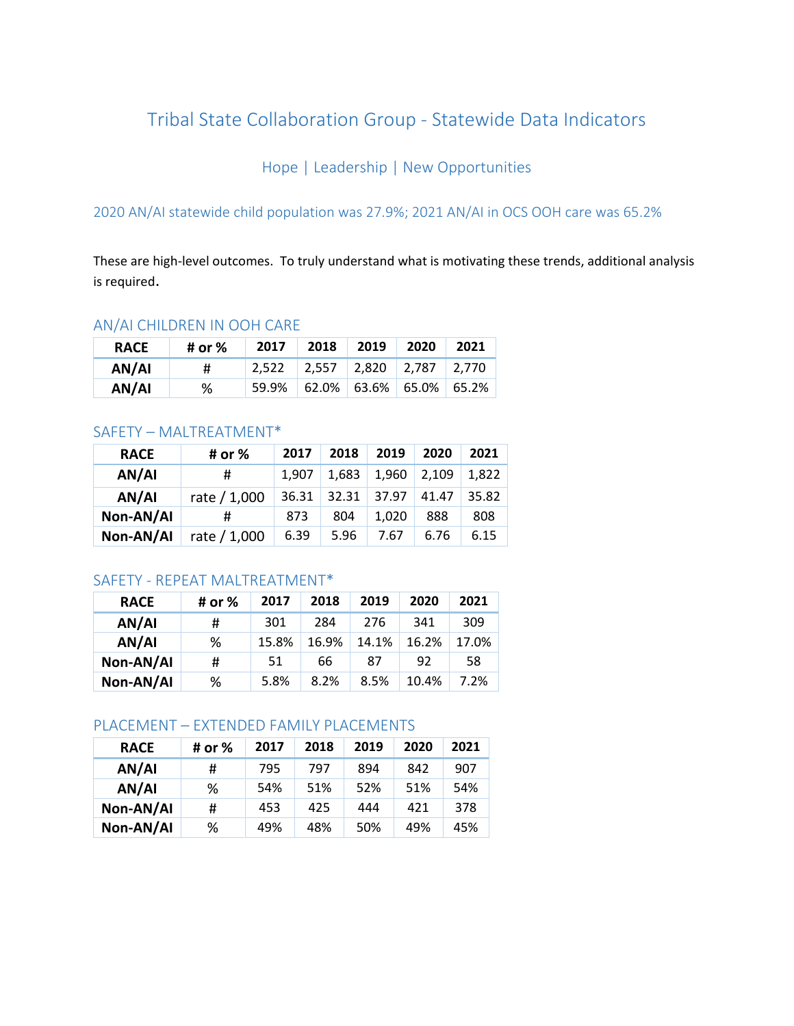# Tribal State Collaboration Group - Statewide Data Indicators

Hope | Leadership | New Opportunities

2020 AN/AI statewide child population was 27.9%; 2021 AN/AI in OCS OOH care was 65.2%

These are high-level outcomes. To truly understand what is motivating these trends, additional analysis is required.

# AN/AI CHILDREN IN OOH CARE

| <b>RACE</b> | # or % | 2017  | 2018        | 2019 | 2020                       | 2021 |
|-------------|--------|-------|-------------|------|----------------------------|------|
| AN/AI       | #      | 2.522 | 2,557 2,820 |      | $2.787$ 2.770              |      |
| AN/AI       | ℅      | 59.9% |             |      | $62.0\%$ 63.6% 65.0% 65.2% |      |

# SAFETY – MALTREATMENT\*

| <b>RACE</b> | # or %       | 2017  | 2018  | 2019  | 2020  | 2021  |
|-------------|--------------|-------|-------|-------|-------|-------|
| AN/AI       | #            | 1,907 | 1.683 | 1,960 | 2,109 | 1,822 |
| AN/AI       | rate / 1,000 | 36.31 | 32.31 | 37.97 | 41.47 | 35.82 |
| Non-AN/AI   | #            | 873   | 804   | 1.020 | 888   | 808   |
| Non-AN/AI   | rate / 1,000 | 6.39  | 5.96  | 7.67  | 6.76  | 6.15  |

# SAFETY - REPEAT MALTREATMENT\*

| <b>RACE</b> | # or % | 2017  | 2018  | 2019  | 2020  | 2021  |
|-------------|--------|-------|-------|-------|-------|-------|
| AN/AI       | #      | 301   | 284   | 276   | 341   | 309   |
| AN/AI       | %      | 15.8% | 16.9% | 14.1% | 16.2% | 17.0% |
| Non-AN/AI   | #      | 51    | 66    | 87    | 92    | 58    |
| Non-AN/AI   | %      | 5.8%  | 8.2%  | 8.5%  | 10.4% | 7.2%  |

# PLACEMENT – EXTENDED FAMILY PLACEMENTS

| <b>RACE</b> | # or % | 2017 | 2018 | 2019 | 2020 | 2021 |
|-------------|--------|------|------|------|------|------|
| AN/AI       | #      | 795  | 797  | 894  | 842  | 907  |
| AN/AI       | %      | 54%  | 51%  | 52%  | 51%  | 54%  |
| Non-AN/AI   | #      | 453  | 425  | 444  | 421  | 378  |
| Non-AN/AI   | ℅      | 49%  | 48%  | 50%  | 49%  | 45%  |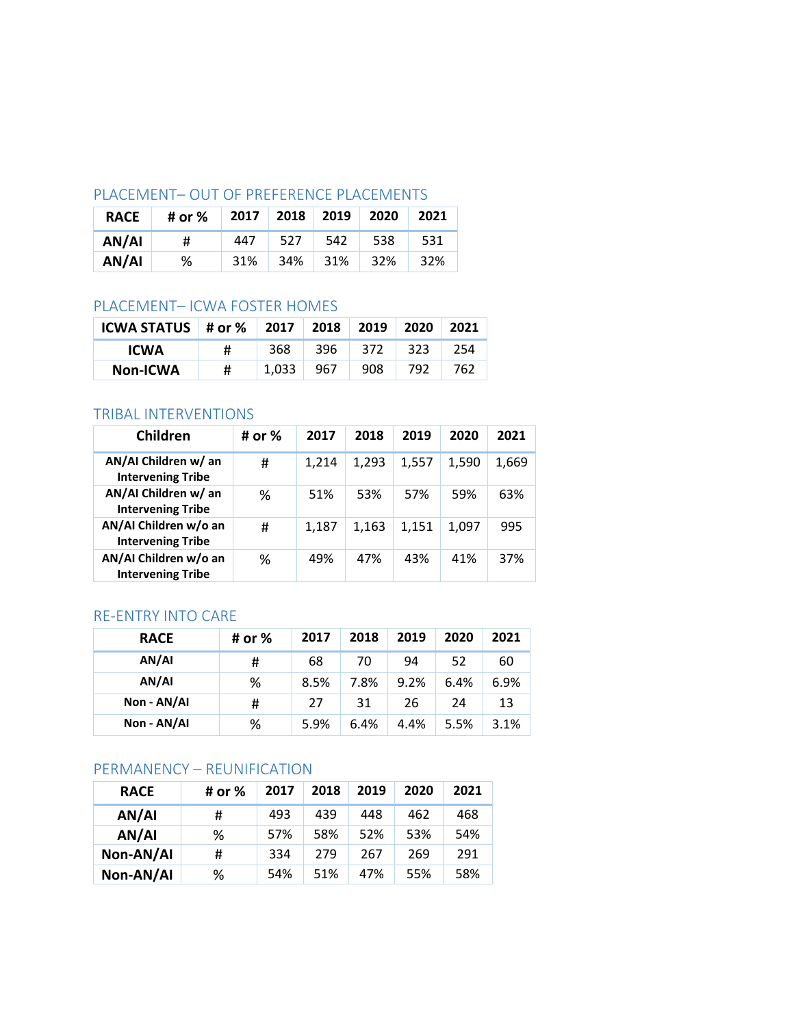# PLACEMENT– OUT OF PREFERENCE PLACEMENTS

| <b>RACE</b> | # or % | 2017 | 2018 2019 |     | 2020 | 2021 |
|-------------|--------|------|-----------|-----|------|------|
| AN/AI       | #      | 447  | 527       | 542 | 538  | 531  |
| AN/AI       | ℅      | 31%  | 34%       | 31% | 32%  | 32%  |

# PLACEMENT– ICWA FOSTER HOMES

| ICWA STATUS   # or %   2017   2018   2019 |   |       |      |     | - 2020 | 2021 |
|-------------------------------------------|---|-------|------|-----|--------|------|
| <b>ICWA</b>                               | # | 368   | -396 | 372 | -323   | 254  |
| <b>Non-ICWA</b>                           | # | 1.033 | -967 | 908 | 792    | 762  |

# TRIBAL INTERVENTIONS

| Children                                          | # or % | 2017  | 2018  | 2019  | 2020  | 2021  |
|---------------------------------------------------|--------|-------|-------|-------|-------|-------|
| AN/AI Children w/ an<br><b>Intervening Tribe</b>  | #      | 1,214 | 1,293 | 1,557 | 1,590 | 1,669 |
| AN/AI Children w/ an<br><b>Intervening Tribe</b>  | ℅      | 51%   | 53%   | 57%   | 59%   | 63%   |
| AN/AI Children w/o an<br><b>Intervening Tribe</b> | #      | 1,187 | 1,163 | 1,151 | 1,097 | 995   |
| AN/AI Children w/o an<br><b>Intervening Tribe</b> | ℅      | 49%   | 47%   | 43%   | 41%   | 37%   |

# RE-ENTRY INTO CARE

| <b>RACE</b> | # or % | 2017 | 2018 | 2019 | 2020 | 2021 |
|-------------|--------|------|------|------|------|------|
| AN/AI       | #      | 68   | 70   | 94   | 52   | 60   |
| AN/AI       | %      | 8.5% | 7.8% | 9.2% | 6.4% | 6.9% |
| Non - AN/AI | #      | 27   | 31   | 26   | 24   | 13   |
| Non - AN/AI | %      | 5.9% | 6.4% | 4.4% | 5.5% | 3.1% |

# PERMANENCY – REUNIFICATION

| <b>RACE</b> | # or % | 2017 | 2018 | 2019 | 2020 | 2021 |
|-------------|--------|------|------|------|------|------|
| AN/AI       | #      | 493  | 439  | 448  | 462  | 468  |
| AN/AI       | ℅      | 57%  | 58%  | 52%  | 53%  | 54%  |
| Non-AN/AI   | #      | 334  | 279  | 267  | 269  | 291  |
| Non-AN/AI   | ℅      | 54%  | 51%  | 47%  | 55%  | 58%  |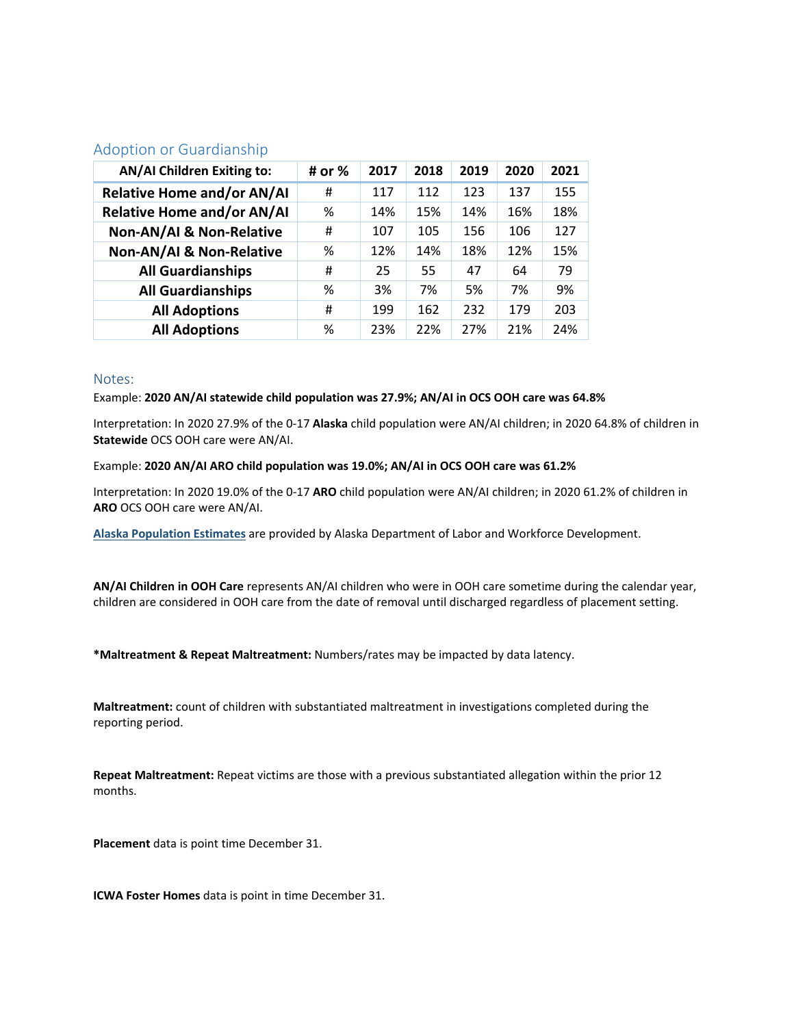### Adoption or Guardianship

| <b>AN/AI Children Exiting to:</b>   | # or % | 2017 | 2018 | 2019 | 2020 | 2021 |
|-------------------------------------|--------|------|------|------|------|------|
| <b>Relative Home and/or AN/AI</b>   | #      | 117  | 112  | 123  | 137  | 155  |
| <b>Relative Home and/or AN/AI</b>   | %      | 14%  | 15%  | 14%  | 16%  | 18%  |
| <b>Non-AN/AI &amp; Non-Relative</b> | #      | 107  | 105  | 156  | 106  | 127  |
| <b>Non-AN/AI &amp; Non-Relative</b> | %      | 12%  | 14%  | 18%  | 12%  | 15%  |
| <b>All Guardianships</b>            | #      | 25   | 55   | 47   | 64   | 79   |
| <b>All Guardianships</b>            | %      | 3%   | 7%   | 5%   | 7%   | 9%   |
| <b>All Adoptions</b>                | #      | 199  | 162  | 232  | 179  | 203  |
| <b>All Adoptions</b>                | %      | 23%  | 22%  | 27%  | 21%  | 24%  |

#### Notes:

#### Example: **2020 AN/AI statewide child population was 27.9%; AN/AI in OCS OOH care was 64.8%**

Interpretation: In 2020 27.9% of the 0-17 **Alaska** child population were AN/AI children; in 2020 64.8% of children in **Statewide** OCS OOH care were AN/AI.

#### Example: **2020 AN/AI ARO child population was 19.0%; AN/AI in OCS OOH care was 61.2%**

Interpretation: In 2020 19.0% of the 0-17 **ARO** child population were AN/AI children; in 2020 61.2% of children in **ARO** OCS OOH care were AN/AI.

**[Alaska Population Estimates](https://live.laborstats.alaska.gov/pop/#https://live.laborstats.alaska.gov/pop/)** are provided by Alaska Department of Labor and Workforce Development.

**AN/AI Children in OOH Care** represents AN/AI children who were in OOH care sometime during the calendar year, children are considered in OOH care from the date of removal until discharged regardless of placement setting.

**\*Maltreatment & Repeat Maltreatment:** Numbers/rates may be impacted by data latency.

**Maltreatment:** count of children with substantiated maltreatment in investigations completed during the reporting period.

**Repeat Maltreatment:** Repeat victims are those with a previous substantiated allegation within the prior 12 months.

**Placement** data is point time December 31.

**ICWA Foster Homes** data is point in time December 31.